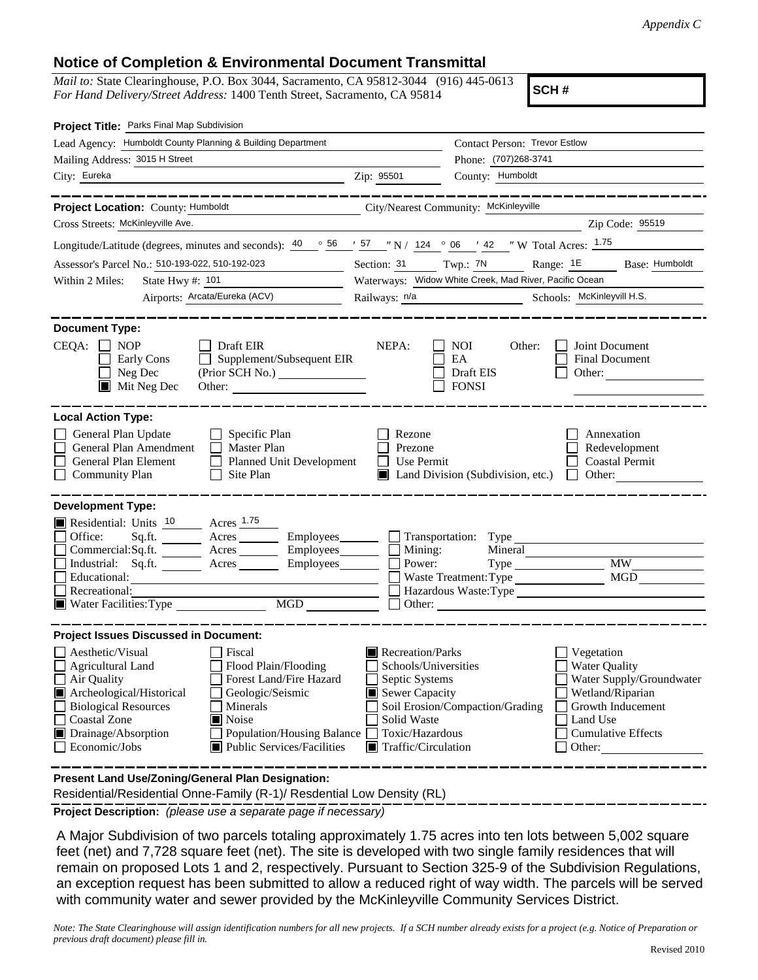## **Notice of Completion & Environmental Document Transmittal**

*Mail to:* State Clearinghouse, P.O. Box 3044, Sacramento, CA 95812-3044 (916) 445-0613 *For Hand Delivery/Street Address:* 1400 Tenth Street, Sacramento, CA 95814

**SCH #**

| Project Title: Parks Final Map Subdivision                                                                                                                                                                                                                                                                                                                     |                                                                                                                                                      |                                                                   |                                                                                                                                                  |  |  |
|----------------------------------------------------------------------------------------------------------------------------------------------------------------------------------------------------------------------------------------------------------------------------------------------------------------------------------------------------------------|------------------------------------------------------------------------------------------------------------------------------------------------------|-------------------------------------------------------------------|--------------------------------------------------------------------------------------------------------------------------------------------------|--|--|
| Lead Agency: Humboldt County Planning & Building Department                                                                                                                                                                                                                                                                                                    |                                                                                                                                                      | Contact Person: Trevor Estlow                                     |                                                                                                                                                  |  |  |
| Mailing Address: 3015 H Street                                                                                                                                                                                                                                                                                                                                 |                                                                                                                                                      | Phone: (707)268-3741                                              |                                                                                                                                                  |  |  |
| City: Eureka<br><u> 1989 - Johann Barn, mars eta bainar eta baina eta baina eta baina eta baina eta baina eta baina eta baina e</u>                                                                                                                                                                                                                            | Zip: 95501                                                                                                                                           | County: Humboldt                                                  |                                                                                                                                                  |  |  |
| . __ __ __ __ __ __ __ __ __                                                                                                                                                                                                                                                                                                                                   |                                                                                                                                                      |                                                                   | <u>. 2002 - 2002 - 2002 - 2002 - 20</u>                                                                                                          |  |  |
| Project Location: County: Humboldt                                                                                                                                                                                                                                                                                                                             | City/Nearest Community: McKinleyville                                                                                                                |                                                                   |                                                                                                                                                  |  |  |
| Cross Streets: McKinleyville Ave.                                                                                                                                                                                                                                                                                                                              |                                                                                                                                                      |                                                                   | Zip Code: 95519                                                                                                                                  |  |  |
| Longitude/Latitude (degrees, minutes and seconds): $\frac{40}{56}$ $\frac{66}{56}$ $\frac{157}{57}$ $\frac{124}{57}$ N / $\frac{124}{57}$ $\frac{66}{57}$ $\frac{124}{57}$ W Total Acres: $\frac{1.75}{57}$                                                                                                                                                    |                                                                                                                                                      |                                                                   |                                                                                                                                                  |  |  |
| Assessor's Parcel No.: 510-193-022, 510-192-023<br><u> 1990 - Jan Barnett, p</u>                                                                                                                                                                                                                                                                               |                                                                                                                                                      | Section: 31 Twp.: 7N Range: 1E Base: Humboldt                     |                                                                                                                                                  |  |  |
| Within 2 Miles:<br>State Hwy $\#$ : 101                                                                                                                                                                                                                                                                                                                        |                                                                                                                                                      | Waterways: Widow White Creek, Mad River, Pacific Ocean            |                                                                                                                                                  |  |  |
| Airports: Arcata/Eureka (ACV)                                                                                                                                                                                                                                                                                                                                  |                                                                                                                                                      | Railways: $\frac{n}{a}$ Schools: McKinleyvill H.S.                |                                                                                                                                                  |  |  |
|                                                                                                                                                                                                                                                                                                                                                                |                                                                                                                                                      |                                                                   |                                                                                                                                                  |  |  |
| <b>Document Type:</b><br>$CEQA: \Box$<br><b>NOP</b><br>$\Box$ Draft EIR<br>Supplement/Subsequent EIR<br>Early Cons<br>Neg Dec<br>(Prior SCH No.)<br>$\blacksquare$<br>$\blacksquare$ Mit Neg Dec                                                                                                                                                               | NEPA:                                                                                                                                                | <b>NOI</b><br>Other:<br>EA<br>Draft EIS<br><b>FONSI</b>           | Joint Document<br>Final Document<br>Other:                                                                                                       |  |  |
| <b>Local Action Type:</b><br>General Plan Update<br>$\Box$ Specific Plan<br>General Plan Amendment<br>Master Plan<br>General Plan Element<br>Planned Unit Development<br><b>Community Plan</b><br>Site Plan<br>$\Box$                                                                                                                                          | Rezone<br>Prezone<br>Use Permit<br>$\mathsf{L}$                                                                                                      | $\Box$ Land Division (Subdivision, etc.) $\Box$ Other:            | Annexation<br>Redevelopment<br><b>Coastal Permit</b>                                                                                             |  |  |
| <b>Development Type:</b><br>Residential: Units 10 Acres 1.75<br>$Sq.ft.$ Acres Employees $\Box$ Transportation: Type<br>Office:<br>Commercial:Sq.ft. ________ Acres _________ Employees _______ $\Box$<br>Industrial: Sq.ft. _______ Acres _______ Employees_______<br>Educational:<br>Recreational:<br>Water Facilities: Type MGD                             | Mining:<br>Power:                                                                                                                                    | Mineral<br>Type<br>Waste Treatment: Type<br>Hazardous Waste: Type | <b>MW</b><br>MGD                                                                                                                                 |  |  |
| <b>Project Issues Discussed in Document:</b>                                                                                                                                                                                                                                                                                                                   |                                                                                                                                                      |                                                                   |                                                                                                                                                  |  |  |
| Aesthetic/Visual<br>Fiscal<br>Flood Plain/Flooding<br>$\Box$ Agricultural Land<br>Forest Land/Fire Hazard<br>Air Quality<br>Archeological/Historical<br>Geologic/Seismic<br><b>Biological Resources</b><br>Minerals<br>Noise<br><b>Coastal Zone</b><br>Drainage/Absorption<br><b>Population/Housing Balance</b><br>Public Services/Facilities<br>Economic/Jobs | Recreation/Parks<br>Schools/Universities<br>Septic Systems<br>Sewer Capacity<br>Solid Waste<br>Toxic/Hazardous<br>$\blacksquare$ Traffic/Circulation | Soil Erosion/Compaction/Grading<br>Other:                         | Vegetation<br><b>Water Quality</b><br>Water Supply/Groundwater<br>Wetland/Riparian<br>Growth Inducement<br>Land Use<br><b>Cumulative Effects</b> |  |  |
| Present Land Use/Zoning/General Plan Designation:<br>Residential/Residential Onne-Family (R-1)/ Resdential Low Density (RL)                                                                                                                                                                                                                                    |                                                                                                                                                      |                                                                   |                                                                                                                                                  |  |  |

**Project Description:** *(please use a separate page if necessary)*

 A Major Subdivision of two parcels totaling approximately 1.75 acres into ten lots between 5,002 square feet (net) and 7,728 square feet (net). The site is developed with two single family residences that will remain on proposed Lots 1 and 2, respectively. Pursuant to Section 325-9 of the Subdivision Regulations, an exception request has been submitted to allow a reduced right of way width. The parcels will be served with community water and sewer provided by the McKinleyville Community Services District.

*Note: The State Clearinghouse will assign identification numbers for all new projects. If a SCH number already exists for a project (e.g. Notice of Preparation or previous draft document) please fill in.*